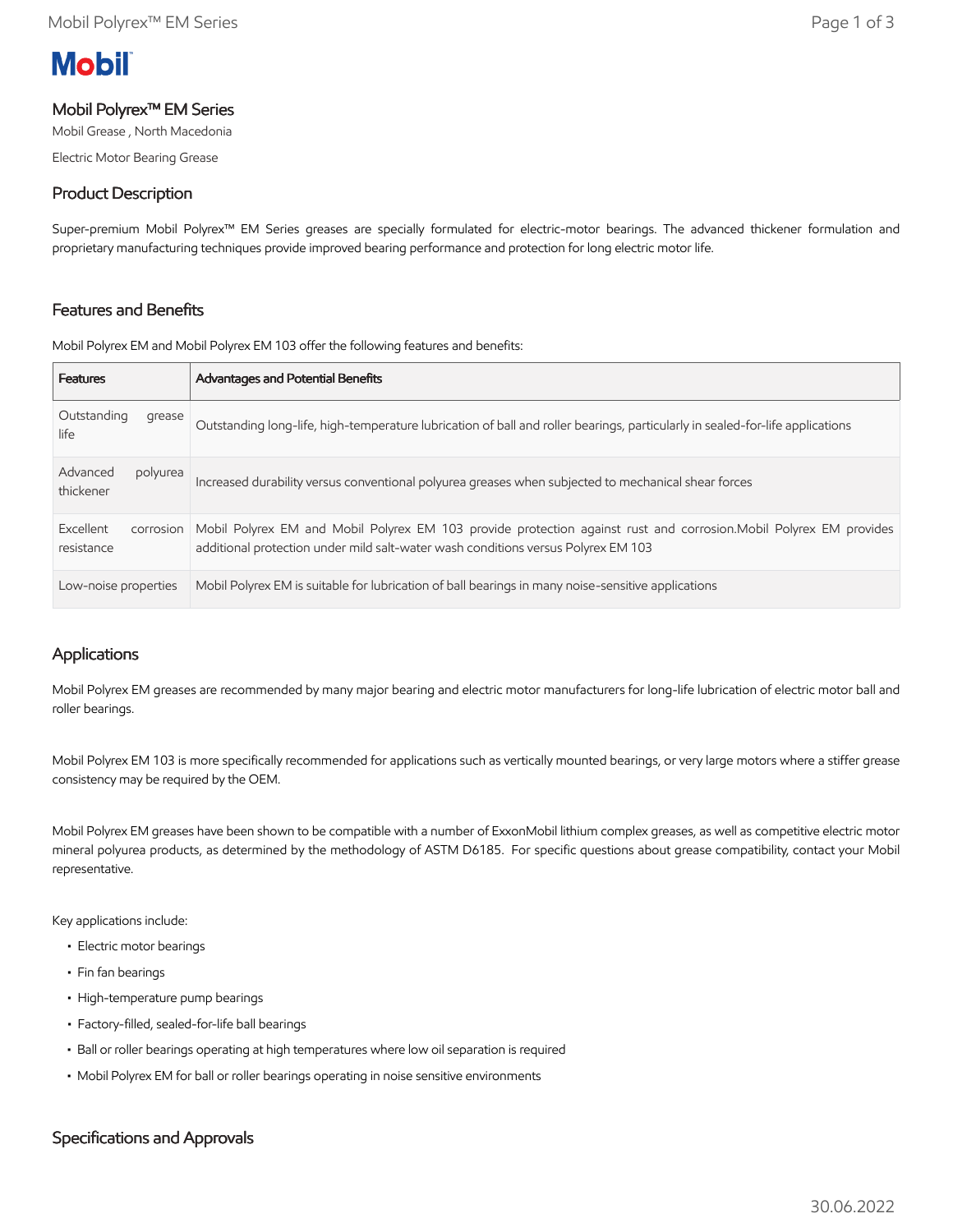# **Mobil**

# Mobil Polyrex™ EM Series

Mobil Grease , North Macedonia

Electric Motor Bearing Grease

# Product Description

Super-premium Mobil Polyrex™ EM Series greases are specially formulated for electric-motor bearings. The advanced thickener formulation and proprietary manufacturing techniques provide improved bearing performance and protection for long electric motor life.

# Features and Benefits

Mobil Polyrex EM and Mobil Polyrex EM 103 offer the following features and benefits:

| <b>Features</b>                      | <b>Advantages and Potential Benefits</b>                                                                                                                                                                |
|--------------------------------------|---------------------------------------------------------------------------------------------------------------------------------------------------------------------------------------------------------|
| Outstanding<br>grease<br>life        | Outstanding long-life, high-temperature lubrication of ball and roller bearings, particularly in sealed-for-life applications                                                                           |
| Advanced<br>polyurea<br>thickener    | Increased durability versus conventional polyurea greases when subjected to mechanical shear forces                                                                                                     |
| Excellent<br>corrosion<br>resistance | Mobil Polyrex EM and Mobil Polyrex EM 103 provide protection against rust and corrosion. Mobil Polyrex EM provides<br>additional protection under mild salt-water wash conditions versus Polyrex EM 103 |
| Low-noise properties                 | Mobil Polyrex EM is suitable for lubrication of ball bearings in many noise-sensitive applications                                                                                                      |

# Applications

Mobil Polyrex EM greases are recommended by many major bearing and electric motor manufacturers for long-life lubrication of electric motor ball and roller bearings.

Mobil Polyrex EM 103 is more specifically recommended for applications such as vertically mounted bearings, or very large motors where a stiffer grease consistency may be required by the OEM.

Mobil Polyrex EM greases have been shown to be compatible with a number of ExxonMobil lithium complex greases, as well as competitive electric motor mineral polyurea products, as determined by the methodology of ASTM D6185. For specific questions about grease compatibility, contact your Mobil representative.

Key applications include:

- Electric motor bearings
- Fin fan bearings
- High-temperature pump bearings
- Factory-filled, sealed-for-life ball bearings
- Ball or roller bearings operating at high temperatures where low oil separation is required
- Mobil Polyrex EM for ball or roller bearings operating in noise sensitive environments

# Specifications and Approvals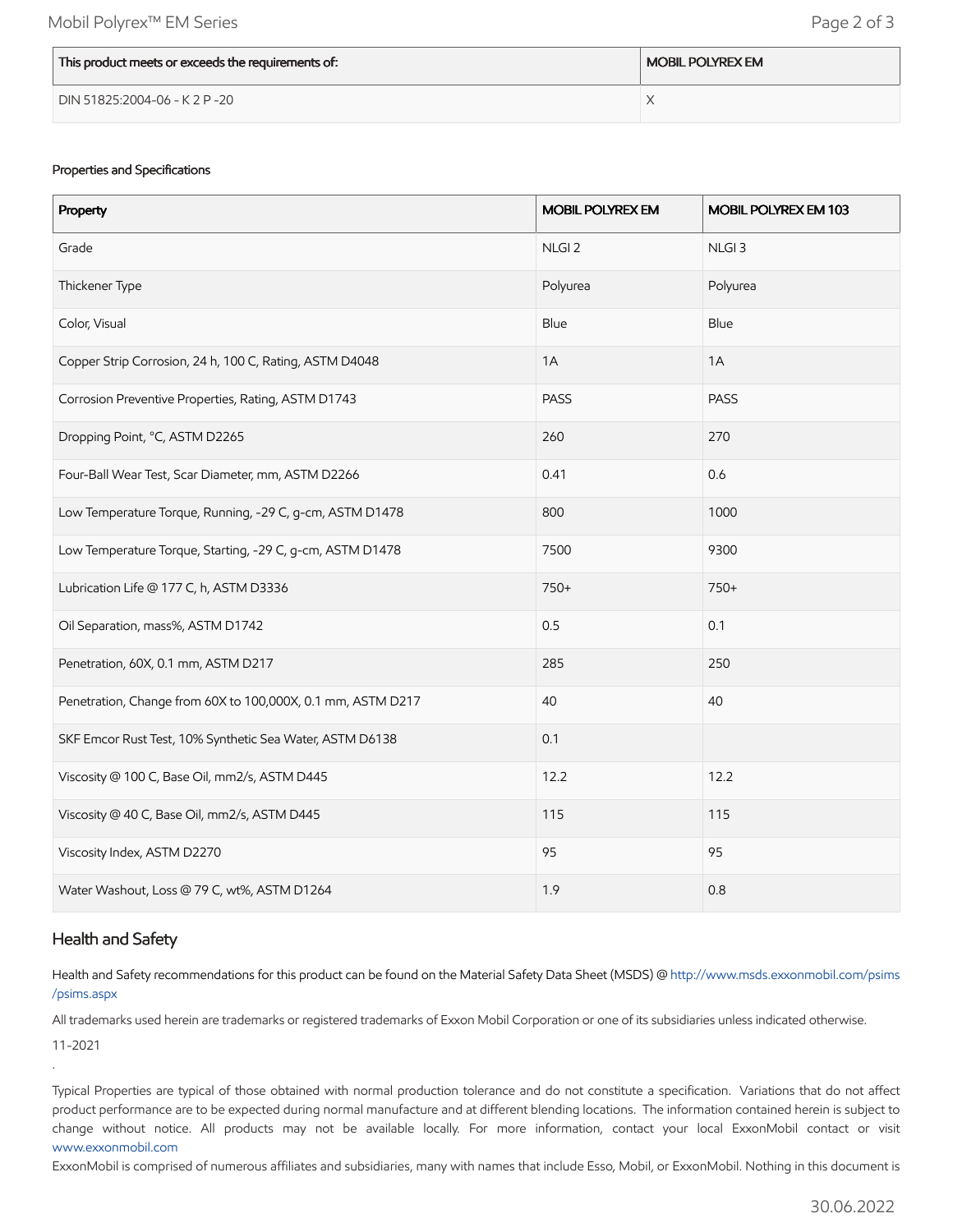| This product meets or exceeds the requirements of: | <b>MOBIL POLYREX EM</b> |
|----------------------------------------------------|-------------------------|
| DIN 51825:2004-06 - K 2 P -20                      |                         |

#### Properties and Specifications

| Property                                                    | <b>MOBIL POLYREX EM</b> | MOBIL POLYREX EM 103 |
|-------------------------------------------------------------|-------------------------|----------------------|
| Grade                                                       | NLGI <sub>2</sub>       | NLGI <sub>3</sub>    |
| Thickener Type                                              | Polyurea                | Polyurea             |
| Color, Visual                                               | Blue                    | Blue                 |
| Copper Strip Corrosion, 24 h, 100 C, Rating, ASTM D4048     | 1A                      | 1A                   |
| Corrosion Preventive Properties, Rating, ASTM D1743         | <b>PASS</b>             | PASS                 |
| Dropping Point, °C, ASTM D2265                              | 260                     | 270                  |
| Four-Ball Wear Test, Scar Diameter, mm, ASTM D2266          | 0.41                    | 0.6                  |
| Low Temperature Torque, Running, -29 C, g-cm, ASTM D1478    | 800                     | 1000                 |
| Low Temperature Torque, Starting, -29 C, g-cm, ASTM D1478   | 7500                    | 9300                 |
| Lubrication Life @ 177 C, h, ASTM D3336                     | 750+                    | 750+                 |
| Oil Separation, mass%, ASTM D1742                           | 0.5                     | 0.1                  |
| Penetration, 60X, 0.1 mm, ASTM D217                         | 285                     | 250                  |
| Penetration, Change from 60X to 100,000X, 0.1 mm, ASTM D217 | 40                      | 40                   |
| SKF Emcor Rust Test, 10% Synthetic Sea Water, ASTM D6138    | 0.1                     |                      |
| Viscosity @ 100 C, Base Oil, mm2/s, ASTM D445               | 12.2                    | 12.2                 |
| Viscosity @ 40 C, Base Oil, mm2/s, ASTM D445                | 115                     | 115                  |
| Viscosity Index, ASTM D2270                                 | 95                      | 95                   |
| Water Washout, Loss @ 79 C, wt%, ASTM D1264                 | 1.9                     | 0.8                  |

#### Health and Safety

Health and Safety recommendations for this product can be found on the Material Safety Data Sheet (MSDS) @ [http://www.msds.exxonmobil.com/psims](http://www.msds.exxonmobil.com/psims/psims.aspx) /psims.aspx

All trademarks used herein are trademarks or registered trademarks of Exxon Mobil Corporation or one of its subsidiaries unless indicated otherwise.

11-2021

.

Typical Properties are typical of those obtained with normal production tolerance and do not constitute a specification. Variations that do not affect product performance are to be expected during normal manufacture and at different blending locations. The information contained herein is subject to change without notice. All products may not be available locally. For more information, contact your local ExxonMobil contact or visit [www.exxonmobil.com](http://www.exxonmobil.com/)

ExxonMobil is comprised of numerous affiliates and subsidiaries, many with names that include Esso, Mobil, or ExxonMobil. Nothing in this document is